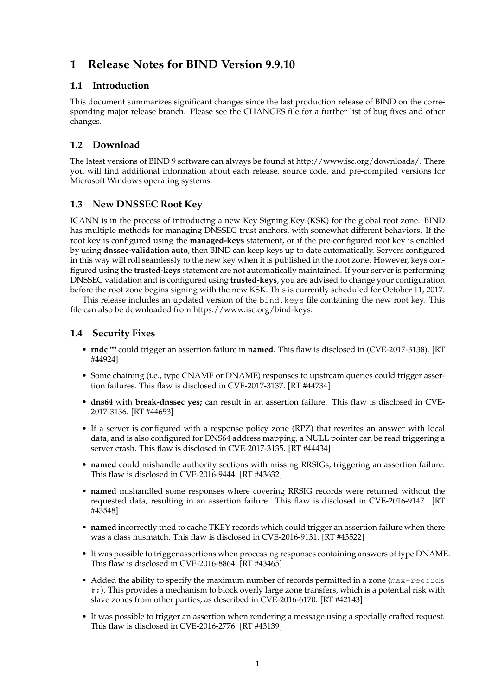# **1 Release Notes for BIND Version 9.9.10**

## **1.1 Introduction**

This document summarizes significant changes since the last production release of BIND on the corresponding major release branch. Please see the CHANGES file for a further list of bug fixes and other changes.

# **1.2 Download**

The latest versions of BIND 9 software can always be found at http://www.isc.org/downloads/. There you will find additional information about each release, source code, and pre-compiled versions for Microsoft Windows operating systems.

# **1.3 New DNSSEC Root Key**

ICANN is in the process of introducing a new Key Signing Key (KSK) for the global root zone. BIND has multiple methods for managing DNSSEC trust anchors, with somewhat different behaviors. If the root key is configured using the **managed-keys** statement, or if the pre-configured root key is enabled by using **dnssec-validation auto**, then BIND can keep keys up to date automatically. Servers configured in this way will roll seamlessly to the new key when it is published in the root zone. However, keys configured using the **trusted-keys** statement are not automatically maintained. If your server is performing DNSSEC validation and is configured using **trusted-keys**, you are advised to change your configuration before the root zone begins signing with the new KSK. This is currently scheduled for October 11, 2017.

This release includes an updated version of the bind.keys file containing the new root key. This file can also be downloaded from https://www.isc.org/bind-keys.

#### **1.4 Security Fixes**

- **rndc ""** could trigger an assertion failure in **named**. This flaw is disclosed in (CVE-2017-3138). [RT #44924]
- Some chaining (i.e., type CNAME or DNAME) responses to upstream queries could trigger assertion failures. This flaw is disclosed in CVE-2017-3137. [RT #44734]
- **dns64** with **break-dnssec yes;** can result in an assertion failure. This flaw is disclosed in CVE-2017-3136. [RT #44653]
- If a server is configured with a response policy zone (RPZ) that rewrites an answer with local data, and is also configured for DNS64 address mapping, a NULL pointer can be read triggering a server crash. This flaw is disclosed in CVE-2017-3135. [RT #44434]
- **named** could mishandle authority sections with missing RRSIGs, triggering an assertion failure. This flaw is disclosed in CVE-2016-9444. [RT #43632]
- **named** mishandled some responses where covering RRSIG records were returned without the requested data, resulting in an assertion failure. This flaw is disclosed in CVE-2016-9147. [RT #43548]
- **named** incorrectly tried to cache TKEY records which could trigger an assertion failure when there was a class mismatch. This flaw is disclosed in CVE-2016-9131. [RT #43522]
- It was possible to trigger assertions when processing responses containing answers of type DNAME. This flaw is disclosed in CVE-2016-8864. [RT #43465]
- Added the ability to specify the maximum number of records permitted in a zone (max-records #;). This provides a mechanism to block overly large zone transfers, which is a potential risk with slave zones from other parties, as described in CVE-2016-6170. [RT #42143]
- It was possible to trigger an assertion when rendering a message using a specially crafted request. This flaw is disclosed in CVE-2016-2776. [RT #43139]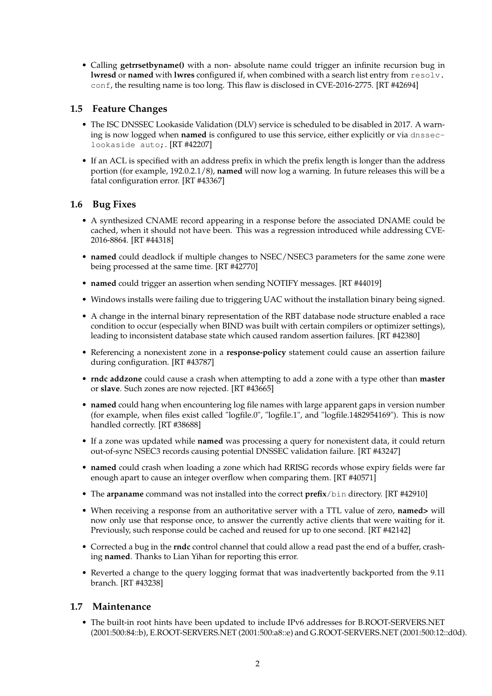• Calling **getrrsetbyname()** with a non- absolute name could trigger an infinite recursion bug in **lwresd** or **named** with **lwres** configured if, when combined with a search list entry from resolv. conf, the resulting name is too long. This flaw is disclosed in CVE-2016-2775. [RT #42694]

## **1.5 Feature Changes**

- The ISC DNSSEC Lookaside Validation (DLV) service is scheduled to be disabled in 2017. A warning is now logged when **named** is configured to use this service, either explicitly or via dnsseclookaside auto;. [RT #42207]
- If an ACL is specified with an address prefix in which the prefix length is longer than the address portion (for example, 192.0.2.1/8), **named** will now log a warning. In future releases this will be a fatal configuration error. [RT #43367]

#### **1.6 Bug Fixes**

- A synthesized CNAME record appearing in a response before the associated DNAME could be cached, when it should not have been. This was a regression introduced while addressing CVE-2016-8864. [RT #44318]
- **named** could deadlock if multiple changes to NSEC/NSEC3 parameters for the same zone were being processed at the same time. [RT #42770]
- **named** could trigger an assertion when sending NOTIFY messages. [RT #44019]
- Windows installs were failing due to triggering UAC without the installation binary being signed.
- A change in the internal binary representation of the RBT database node structure enabled a race condition to occur (especially when BIND was built with certain compilers or optimizer settings), leading to inconsistent database state which caused random assertion failures. [RT #42380]
- Referencing a nonexistent zone in a **response-policy** statement could cause an assertion failure during configuration. [RT #43787]
- **rndc addzone** could cause a crash when attempting to add a zone with a type other than **master** or **slave**. Such zones are now rejected. [RT #43665]
- **named** could hang when encountering log file names with large apparent gaps in version number (for example, when files exist called "logfile.0", "logfile.1", and "logfile.1482954169"). This is now handled correctly. [RT #38688]
- If a zone was updated while **named** was processing a query for nonexistent data, it could return out-of-sync NSEC3 records causing potential DNSSEC validation failure. [RT #43247]
- **named** could crash when loading a zone which had RRISG records whose expiry fields were far enough apart to cause an integer overflow when comparing them. [RT #40571]
- The **arpaname** command was not installed into the correct **prefix**/bin directory. [RT #42910]
- When receiving a response from an authoritative server with a TTL value of zero, **named>** will now only use that response once, to answer the currently active clients that were waiting for it. Previously, such response could be cached and reused for up to one second. [RT #42142]
- Corrected a bug in the **rndc** control channel that could allow a read past the end of a buffer, crashing **named**. Thanks to Lian Yihan for reporting this error.
- Reverted a change to the query logging format that was inadvertently backported from the 9.11 branch. [RT #43238]

# **1.7 Maintenance**

• The built-in root hints have been updated to include IPv6 addresses for B.ROOT-SERVERS.NET (2001:500:84::b), E.ROOT-SERVERS.NET (2001:500:a8::e) and G.ROOT-SERVERS.NET (2001:500:12::d0d).